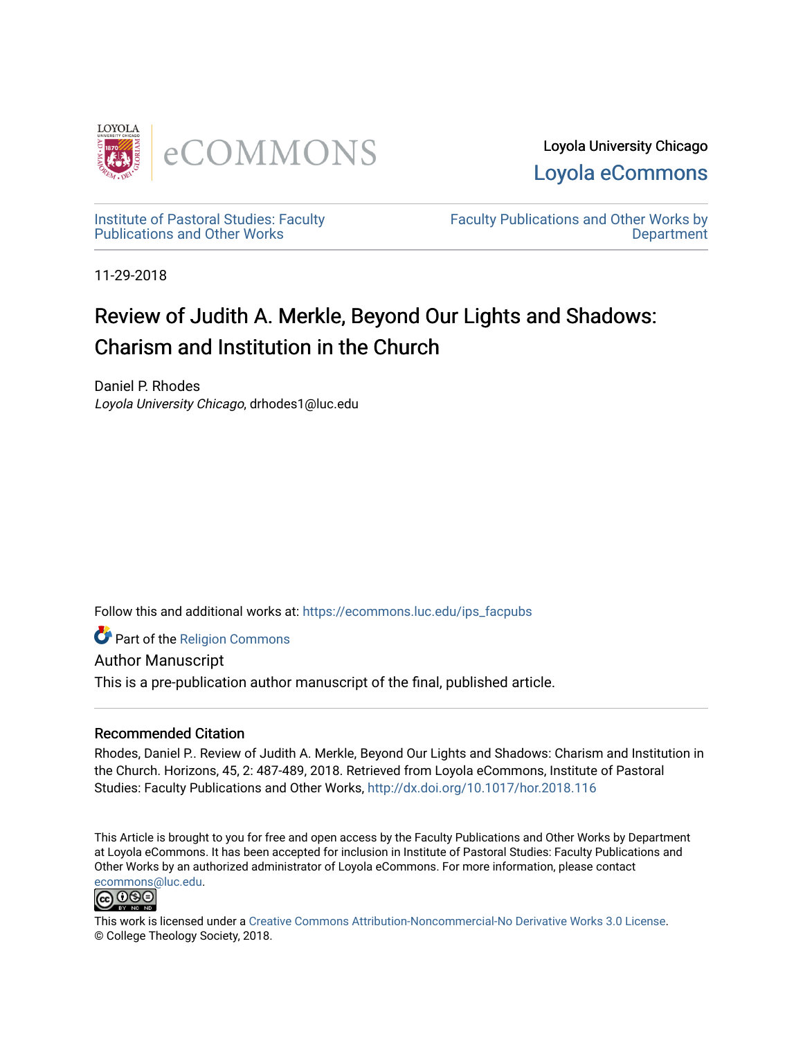

Loyola University Chicago [Loyola eCommons](https://ecommons.luc.edu/) 

[Institute of Pastoral Studies: Faculty](https://ecommons.luc.edu/ips_facpubs)  [Publications and Other Works](https://ecommons.luc.edu/ips_facpubs) 

[Faculty Publications and Other Works by](https://ecommons.luc.edu/faculty)  **Department** 

11-29-2018

## Review of Judith A. Merkle, Beyond Our Lights and Shadows: Charism and Institution in the Church

Daniel P. Rhodes Loyola University Chicago, drhodes1@luc.edu

Follow this and additional works at: [https://ecommons.luc.edu/ips\\_facpubs](https://ecommons.luc.edu/ips_facpubs?utm_source=ecommons.luc.edu%2Fips_facpubs%2F57&utm_medium=PDF&utm_campaign=PDFCoverPages)

Part of the [Religion Commons](http://network.bepress.com/hgg/discipline/538?utm_source=ecommons.luc.edu%2Fips_facpubs%2F57&utm_medium=PDF&utm_campaign=PDFCoverPages)

Author Manuscript This is a pre-publication author manuscript of the final, published article.

## Recommended Citation

Rhodes, Daniel P.. Review of Judith A. Merkle, Beyond Our Lights and Shadows: Charism and Institution in the Church. Horizons, 45, 2: 487-489, 2018. Retrieved from Loyola eCommons, Institute of Pastoral Studies: Faculty Publications and Other Works,<http://dx.doi.org/10.1017/hor.2018.116>

This Article is brought to you for free and open access by the Faculty Publications and Other Works by Department at Loyola eCommons. It has been accepted for inclusion in Institute of Pastoral Studies: Faculty Publications and Other Works by an authorized administrator of Loyola eCommons. For more information, please contact [ecommons@luc.edu](mailto:ecommons@luc.edu).



This work is licensed under a [Creative Commons Attribution-Noncommercial-No Derivative Works 3.0 License.](https://creativecommons.org/licenses/by-nc-nd/3.0/) © College Theology Society, 2018.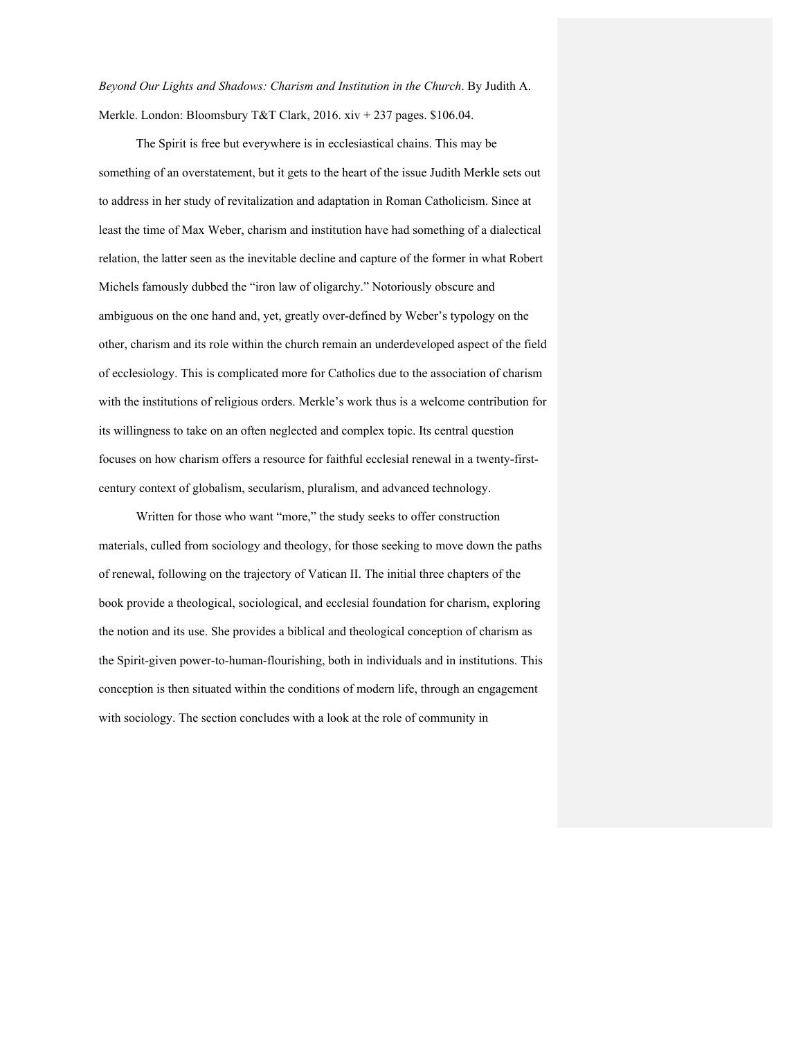*Beyond Our Lights and Shadows: Charism and Institution in the Church*. By Judith A. Merkle. London: Bloomsbury T&T Clark, 2016. xiv + 237 pages. \$106.04.

The Spirit is free but everywhere is in ecclesiastical chains. This may be something of an overstatement, but it gets to the heart of the issue Judith Merkle sets out to address in her study of revitalization and adaptation in Roman Catholicism. Since at least the time of Max Weber, charism and institution have had something of a dialectical relation, the latter seen as the inevitable decline and capture of the former in what Robert Michels famously dubbed the "iron law of oligarchy." Notoriously obscure and ambiguous on the one hand and, yet, greatly over-defined by Weber's typology on the other, charism and its role within the church remain an underdeveloped aspect of the field of ecclesiology. This is complicated more for Catholics due to the association of charism with the institutions of religious orders. Merkle's work thus is a welcome contribution for its willingness to take on an often neglected and complex topic. Its central question focuses on how charism offers a resource for faithful ecclesial renewal in a twenty-firstcentury context of globalism, secularism, pluralism, and advanced technology.

Written for those who want "more," the study seeks to offer construction materials, culled from sociology and theology, for those seeking to move down the paths of renewal, following on the trajectory of Vatican II. The initial three chapters of the book provide a theological, sociological, and ecclesial foundation for charism, exploring the notion and its use. She provides a biblical and theological conception of charism as the Spirit-given power-to-human-flourishing, both in individuals and in institutions. This conception is then situated within the conditions of modern life, through an engagement with sociology. The section concludes with a look at the role of community in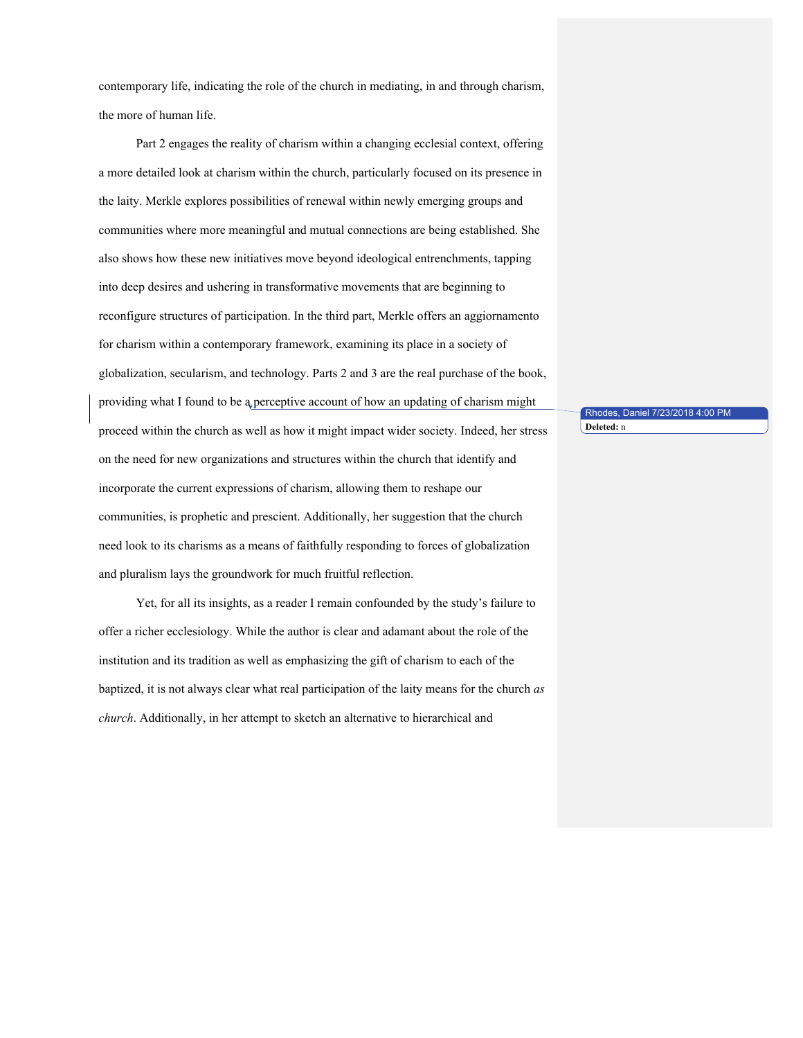contemporary life, indicating the role of the church in mediating, in and through charism, the more of human life.

Part 2 engages the reality of charism within a changing ecclesial context, offering a more detailed look at charism within the church, particularly focused on its presence in the laity. Merkle explores possibilities of renewal within newly emerging groups and communities where more meaningful and mutual connections are being established. She also shows how these new initiatives move beyond ideological entrenchments, tapping into deep desires and ushering in transformative movements that are beginning to reconfigure structures of participation. In the third part, Merkle offers an aggiornamento for charism within a contemporary framework, examining its place in a society of globalization, secularism, and technology. Parts 2 and 3 are the real purchase of the book, providing what I found to be a perceptive account of how an updating of charism might proceed within the church as well as how it might impact wider society. Indeed, her stress on the need for new organizations and structures within the church that identify and incorporate the current expressions of charism, allowing them to reshape our communities, is prophetic and prescient. Additionally, her suggestion that the church need look to its charisms as a means of faithfully responding to forces of globalization and pluralism lays the groundwork for much fruitful reflection.

Yet, for all its insights, as a reader I remain confounded by the study's failure to offer a richer ecclesiology. While the author is clear and adamant about the role of the institution and its tradition as well as emphasizing the gift of charism to each of the baptized, it is not always clear what real participation of the laity means for the church *as church*. Additionally, in her attempt to sketch an alternative to hierarchical and

Rhodes, Daniel 7/23/2018 4:00 PM **Deleted:** n